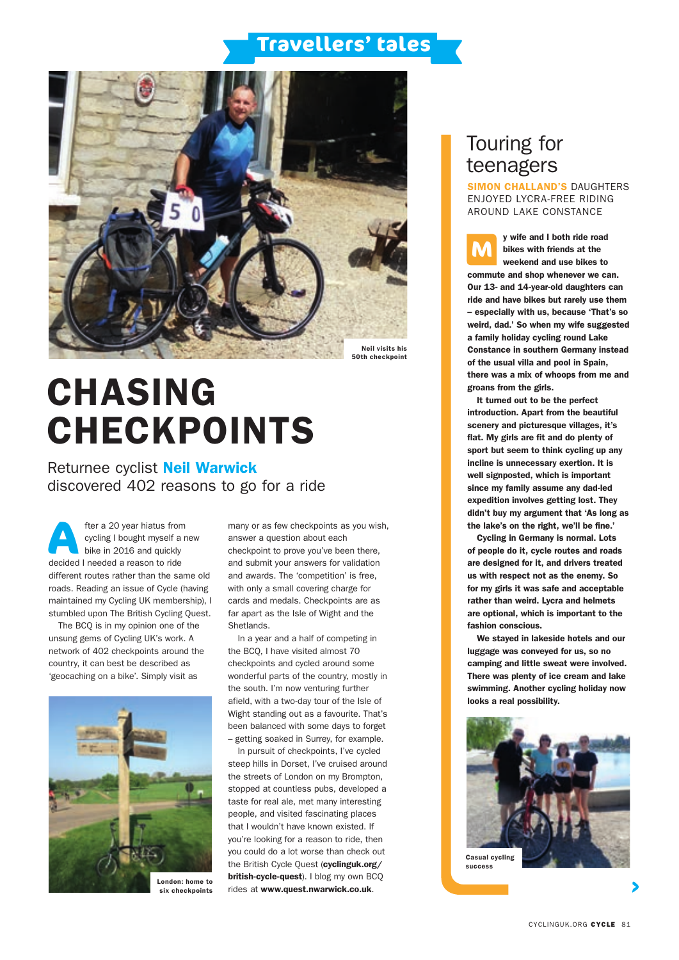## **Travellers' tales**



# CHASING CHECKPOINTS

Returnee cyclist Neil Warwick discovered 402 reasons to go for a ride

fter a 20 year hiatus from cycling I bought myself a new bike in 2016 and quickly fter a 20 year hiatus from<br>cycling I bought myself a<br>bike in 2016 and quickly<br>decided I needed a reason to ride different routes rather than the same old roads. Reading an issue of Cycle (having maintained my Cycling UK membership), I stumbled upon The British Cycling Quest.

The BCQ is in my opinion one of the unsung gems of Cycling UK's work. A network of 402 checkpoints around the country, it can best be described as 'geocaching on a bike'. Simply visit as



six checkpoints

many or as few checkpoints as you wish, answer a question about each checkpoint to prove you've been there, and submit your answers for validation and awards. The 'competition' is free, with only a small covering charge for cards and medals. Checkpoints are as far apart as the Isle of Wight and the Shetlands.

In a year and a half of competing in the BCQ, I have visited almost 70 checkpoints and cycled around some wonderful parts of the country, mostly in the south. I'm now venturing further afield, with a two-day tour of the Isle of Wight standing out as a favourite. That's been balanced with some days to forget – getting soaked in Surrey, for example.

In pursuit of checkpoints, I've cycled steep hills in Dorset, I've cruised around the streets of London on my Brompton, stopped at countless pubs, developed a taste for real ale, met many interesting people, and visited fascinating places that I wouldn't have known existed. If you're looking for a reason to ride, then you could do a lot worse than check out the British Cycle Quest (cyclinguk.org/ british-cycle-quest). I blog my own BCQ rides at www.quest.nwarwick.co.uk.

## Touring for teenagers

SIMON CHALLAND'S DAUGHTERS ENJOYED LYCRA-FREE RIDING AROUND LAKE CONSTANCE

y wife and I both ride road bikes with friends at the weekend and use bikes to commute and shop whenever we can. Our 13- and 14-year-old daughters can ride and have bikes but rarely use them – especially with us, because 'That's so weird, dad.' So when my wife suggested a family holiday cycling round Lake Constance in southern Germany instead of the usual villa and pool in Spain, there was a mix of whoops from me and groans from the girls. **M**

It turned out to be the perfect introduction. Apart from the beautiful scenery and picturesque villages, it's flat. My girls are fit and do plenty of sport but seem to think cycling up any incline is unnecessary exertion. It is well signposted, which is important since my family assume any dad-led expedition involves getting lost. They didn't buy my argument that 'As long as the lake's on the right, we'll be fine.'

Cycling in Germany is normal. Lots of people do it, cycle routes and roads are designed for it, and drivers treated us with respect not as the enemy. So for my girls it was safe and acceptable rather than weird. Lycra and helmets are optional, which is important to the fashion conscious.

We stayed in lakeside hotels and our luggage was conveyed for us, so no camping and little sweat were involved. There was plenty of ice cream and lake swimming. Another cycling holiday now looks a real possibility.